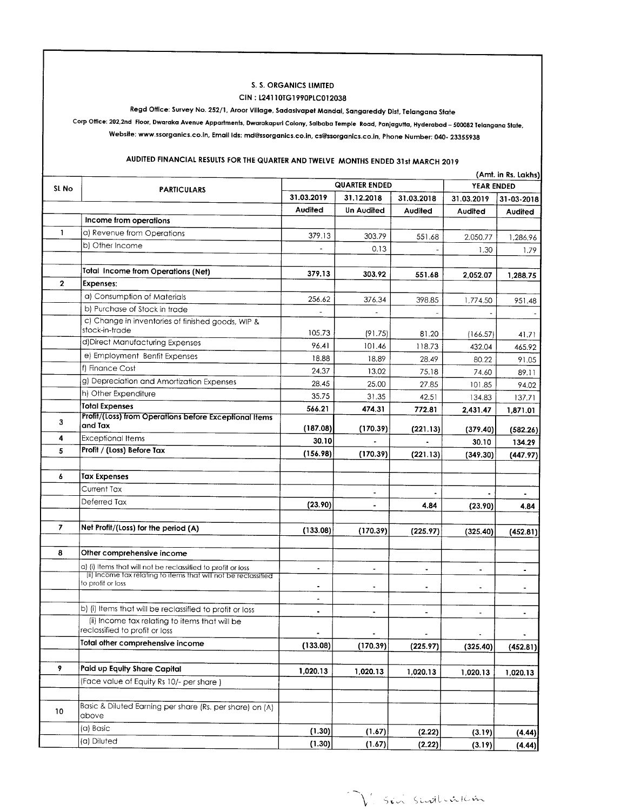#### S. S. ORGANICS LIMITED

#### CIN: L24110TG1990PLC012038

## Regd Office: Survey No. 252/1, Aroor Village, Sadasivapet Mandal, Sangareddy Dist, Telangana State

Corp Office: 202,2nd Floor, Dwaraka Avenue Appartments, Dwarakapuri Colony, Saibaba Temple Road, Panjagutta, Hyderabad – 500082 Telangana State, Website: www.ssorganics.co.in, Email Ids: md@ssorganics.co.in, cs@ssorganics.co.in, Phone Number: 040- 23355938

## AUDITED FINANCIAL RESULTS FOR THE QUARTER AND TWELVE MONTHS ENDED 31st MARCH 2019

|                |                                                                                  | (Amt. in Rs. Lakhs)  |                |            |                |                |  |
|----------------|----------------------------------------------------------------------------------|----------------------|----------------|------------|----------------|----------------|--|
| SL No          | <b>PARTICULARS</b>                                                               | <b>QUARTER ENDED</b> |                |            | YEAR ENDED     |                |  |
|                |                                                                                  | 31.03.2019           | 31.12.2018     | 31.03.2018 | 31.03.2019     | 31-03-2018     |  |
|                |                                                                                  | Audited              | Un Audited     | Audited    | Audited        | Audited        |  |
|                | Income from operations                                                           |                      |                |            |                |                |  |
| $\mathbf{1}$   | a) Revenue from Operations                                                       | 379.13               | 303.79         | 551.68     | 2,050.77       | 1,286.96       |  |
|                | b) Other Income                                                                  |                      | 0.13           |            | 1.30           | 1.79           |  |
|                |                                                                                  |                      |                |            |                |                |  |
|                | <b>Total Income from Operations (Net)</b>                                        | 379.13               | 303.92         | 551.68     | 2,052.07       | 1,288.75       |  |
| $\mathbf{2}$   | Expenses:                                                                        |                      |                |            |                |                |  |
|                | a) Consumption of Materials                                                      | 256.62               | 376.34         | 398.85     | 1,774.50       | 951.48         |  |
|                | b) Purchase of Stock in trade                                                    |                      |                |            |                |                |  |
|                | c) Change in inventories of finished goods, WIP &                                |                      |                |            |                |                |  |
|                | stock-in-trade                                                                   | 105.73               | (91.75)        | 81.20      | (166.57)       | 41.71          |  |
|                | d) Direct Manufacturing Expenses                                                 | 96.41                | 101.46         | 118.73     | 432.04         | 465.92         |  |
|                | e) Employment Benfit Expenses                                                    | 18.88                | 18.89          | 28.49      | 80.22          | 91.05          |  |
|                | f) Finance Cost                                                                  | 24.37                | 13.02          | 75.18      | 74.60          | 89.11          |  |
|                | g) Depreciation and Amortization Expenses                                        | 28.45                | 25.00          | 27.85      | 101.85         | 94.02          |  |
|                | h) Other Expenditure                                                             | 35.75                | 31.35          | 42.51      | 134.83         | 137.71         |  |
|                | <b>Total Expenses</b>                                                            | 566.21               | 474.31         | 772.81     | 2,431.47       | 1,871.01       |  |
| 3              | Profit/(Loss) from Operations before Exceptional Items                           |                      |                |            |                |                |  |
|                | and Tax                                                                          | (187.08)             | (170.39)       | (221.13)   | (379.40)       | (582.26)       |  |
| 4              | <b>Exceptional Items</b>                                                         | 30.10                |                |            | 30.10          | 134.29         |  |
| 5              | Profit / (Loss) Before Tax                                                       | (156.98)             | (170.39)       | (221.13)   | (349.30)       | (447.97)       |  |
|                |                                                                                  |                      |                |            |                |                |  |
| 6              | <b>Tax Expenses</b>                                                              |                      |                |            |                |                |  |
|                | Current Tax                                                                      |                      |                |            |                | $\blacksquare$ |  |
|                | Deferred Tax                                                                     | (23.90)              | $\blacksquare$ | 4.84       | (23.90)        | 4.84           |  |
|                |                                                                                  |                      |                |            |                |                |  |
| $\overline{7}$ | Net Profit/(Loss) for the period (A)                                             | (133.08)             | (170.39)       | (225.97)   | (325.40)       | (452.81)       |  |
|                |                                                                                  |                      |                |            |                |                |  |
| 8              | Other comprehensive income                                                       |                      |                |            |                |                |  |
|                | a) (i) Items that will not be reclassified to profit or loss                     | $\ddot{\phantom{1}}$ | $\blacksquare$ |            |                |                |  |
|                | (ii) Income tax relating to items that will not be reclassified                  |                      |                |            |                |                |  |
|                | to profit or loss                                                                | $\blacksquare$       |                |            |                |                |  |
|                |                                                                                  | $\blacksquare$       |                |            |                |                |  |
|                | b) (i) Items that will be reclassified to profit or loss                         | ٠                    |                |            |                |                |  |
|                | (ii) Income tax relating to items that will be<br>reclassified to profit or loss |                      |                |            | $\blacksquare$ | $\bullet$      |  |
|                | Total other comprehensive income                                                 | (133.08)             | (170.39)       | (225.97)   | (325.40)       | (452.81)       |  |
|                |                                                                                  |                      |                |            |                |                |  |
| 9              | Paid up Equity Share Capital                                                     | 1,020.13             | 1,020.13       | 1,020.13   | 1,020.13       | 1,020.13       |  |
|                | (Face value of Equity Rs 10/- per share)                                         |                      |                |            |                |                |  |
|                |                                                                                  |                      |                |            |                |                |  |
| 10             | Basic & Diluted Earning per share (Rs. per share) on (A)                         |                      |                |            |                |                |  |
|                | above                                                                            |                      |                |            |                |                |  |
|                | (a) Basic                                                                        | (1.30)               | (1.67)         | (2.22)     | (3.19)         | (4.44)         |  |
|                | (a) Diluted                                                                      | (1.30)               | (1.67)         | (2.22)     | (3.19)         | (4.44)         |  |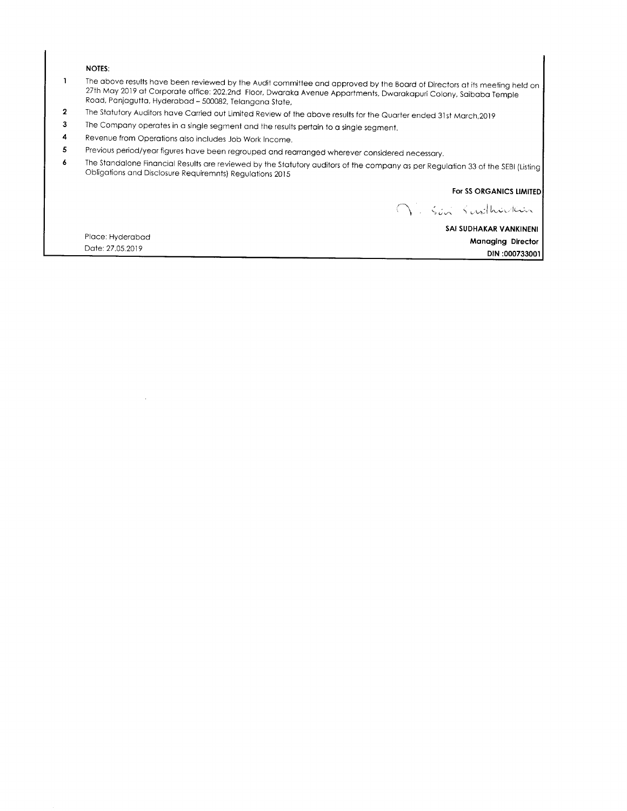#### **NOTES:**

- The above results have been reviewed by the Audit committee and approved by the Board of Directors at its meeting held on  $\mathbf 1$ 27th May 2019 at Corporate office: 202,2nd Floor, Dwaraka Avenue Appartments, Dwarakapuri Colony, Saibaba Temple Road, Panjagutta, Hyderabad - 500082, Telangana State,
- $\overline{2}$ The Statutory Auditors have Carried out Limited Review of the above results for the Quarter ended 31st March, 2019
- 3 The Company operates in a single segment and the results pertain to a single segment.
- 4 Revenue from Operations also includes Job Work Income.
- Previous period/year figures have been regrouped and rearranged wherever considered necessary.  $\overline{\mathbf{5}}$
- The Standalone Financial Results are reviewed by the Statutory auditors of the company as per Regulation 33 of the SEBI (Listing 6 Obligations and Disclosure Requiremnts) Regulations 2015

For SS ORGANICS LIMITED

V. Sin Surlhurlain

Place: Hyderabad Date: 27.05.2019

 $\bar{\mathcal{A}}$ 

SAI SUDHAKAR VANKINENI **Managing Director** DIN:000733001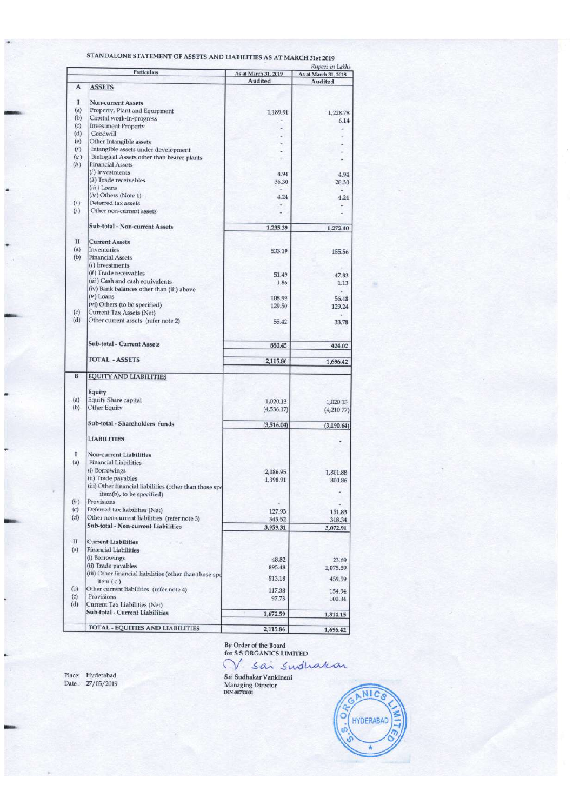|     |                                                         | Rupees in Lakhs                 |                      |  |  |  |
|-----|---------------------------------------------------------|---------------------------------|----------------------|--|--|--|
|     | <b>Particulars</b>                                      | As at March 31, 2019<br>Audited | As at March 31, 2018 |  |  |  |
| A   | <b>ASSETS</b>                                           |                                 | Audited              |  |  |  |
|     |                                                         |                                 |                      |  |  |  |
| 1   | <b>Non-current Assets</b>                               |                                 |                      |  |  |  |
| (a) | Property, Plant and Equipment                           | 1,189.91                        | 1,228.78             |  |  |  |
| (b) | Capital work-in-progress                                |                                 | 6.14                 |  |  |  |
| (c) | <b>Investment Property</b>                              |                                 |                      |  |  |  |
| (d) | Goodwill                                                |                                 |                      |  |  |  |
| (e) | Other Intangible assets                                 |                                 |                      |  |  |  |
| (f) | Intangible assets under development                     |                                 |                      |  |  |  |
| (g) | Biological Assets other than bearer plants              |                                 |                      |  |  |  |
| (h) | <b>Financial Assets</b>                                 |                                 |                      |  |  |  |
|     | $(i)$ Investments                                       | 4.94                            | 4.94                 |  |  |  |
|     | (ii) Trade receivables                                  | 36.30                           | 28.30                |  |  |  |
|     | (iii) Loans                                             |                                 |                      |  |  |  |
|     | (iv) Others (Note 1)                                    | 4.24                            | 4.24                 |  |  |  |
| (i) | Deferred tax assets                                     |                                 |                      |  |  |  |
| (y) | Other non-current assets                                |                                 |                      |  |  |  |
|     |                                                         |                                 |                      |  |  |  |
|     | <b>Sub-total - Non-current Assets</b>                   | 1,235.39                        | 1,272.40             |  |  |  |
| П   |                                                         |                                 |                      |  |  |  |
|     | <b>Current Assets</b>                                   |                                 |                      |  |  |  |
| (a) | Inventories                                             | 533.19                          | 155.56               |  |  |  |
| (b) | <b>Financial Assets</b>                                 |                                 |                      |  |  |  |
|     | $(i)$ Investments                                       |                                 |                      |  |  |  |
|     | (ii) Trade receivables                                  | 51.49                           | 47.83                |  |  |  |
|     | (iii) Cash and cash equivalents                         | 1.86                            | 1.13                 |  |  |  |
|     | (iv) Bank balances other than (iii) above               |                                 |                      |  |  |  |
|     | $(V)$ Loans                                             | 108.99                          | 56.48                |  |  |  |
|     | (vi) Others (to be specified)                           | 129.50                          | 129.24               |  |  |  |
| (c) | Current Tax Assets (Net)                                |                                 |                      |  |  |  |
| (d) | Other current assets (refer note 2)                     | 55.42                           | 33.78                |  |  |  |
|     |                                                         |                                 |                      |  |  |  |
|     |                                                         |                                 |                      |  |  |  |
|     | Sub-total - Current Assets                              | 880.45                          | 424.02               |  |  |  |
|     |                                                         |                                 |                      |  |  |  |
|     | <b>TOTAL - ASSETS</b>                                   | 2,115.86                        | 1,696.42             |  |  |  |
|     |                                                         |                                 |                      |  |  |  |
| B   | <b>EQUITY AND LIABILITIES</b>                           |                                 |                      |  |  |  |
|     |                                                         |                                 |                      |  |  |  |
|     | Equity                                                  |                                 |                      |  |  |  |
| (a) | <b>Equity Share capital</b>                             | 1,020.13                        | 1,020.13             |  |  |  |
| (b) | Other Equity                                            | (4,536.17)                      | (4,210.77)           |  |  |  |
|     |                                                         |                                 |                      |  |  |  |
|     | Sub-total - Shareholders' funds                         | (3,516.04)                      | (3, 190.64)          |  |  |  |
|     |                                                         |                                 |                      |  |  |  |
|     | <b>LIABILITIES</b>                                      |                                 |                      |  |  |  |
|     |                                                         |                                 |                      |  |  |  |
| I   | Non-current Liabilities                                 |                                 |                      |  |  |  |
| (a) | <b>Financial Liabilities</b>                            |                                 |                      |  |  |  |
|     | (i) Borrowings                                          | 2,086.95                        | 1,801.88             |  |  |  |
|     | (ii) Trade payables                                     | 1,398.91                        | 800.86               |  |  |  |
|     | (iii) Other financial liabilities (other than those spe |                                 |                      |  |  |  |
|     | item(b), to be specified)                               |                                 |                      |  |  |  |
| (b) | Provisions                                              |                                 |                      |  |  |  |
| (c) | Deferred tax liabilities (Net)                          | 127.93                          | 151.83               |  |  |  |
| (d) | Other non-current liabilities (refer note 3)            | 345.52                          | 318.34               |  |  |  |
|     | Sub-total - Non-current Liabilities                     | 3,959.31                        | 3,072.91             |  |  |  |
|     |                                                         |                                 |                      |  |  |  |
| П   | <b>Current Liabilities</b>                              |                                 |                      |  |  |  |
| (a) | <b>Financial Liabilities</b>                            |                                 |                      |  |  |  |
|     | (i) Borrowings                                          | 48.82                           | 23.69                |  |  |  |
|     | (ii) Trade payables                                     | 895.48                          | 1,075.59             |  |  |  |
|     | (iii) Other financial liabilities (other than those spe |                                 |                      |  |  |  |
|     | item(c)                                                 | 513.18                          | 459.59               |  |  |  |
| (b) | Other current liabilities (refer note 4)                | 117.38                          | 154.94               |  |  |  |
| (c) | Provisions                                              | 97.73                           | 100.34               |  |  |  |
| (d) | Current Tax Liabilities (Net)                           |                                 |                      |  |  |  |
|     | Sub-total - Current Liabilities                         | 1,672.59                        | 1,814.15             |  |  |  |
|     |                                                         |                                 |                      |  |  |  |
|     | TOTAL - EQUITIES AND LIABILITIES                        | 2,115.86                        | 1,696.42             |  |  |  |
|     |                                                         |                                 |                      |  |  |  |

STANDALONE STATEMENT OF ASSETS AND LIABILITIES AS AT MARCH 31st 2019

Place: Hyderabad<br>Date : 27/05/2019

By Order of the Board<br>for S S ORGANICS LIMITED<br>V. Sai Sudhaka

Sai Sudhakar Vankineni<br>Managing Director<br>DIN:00733001

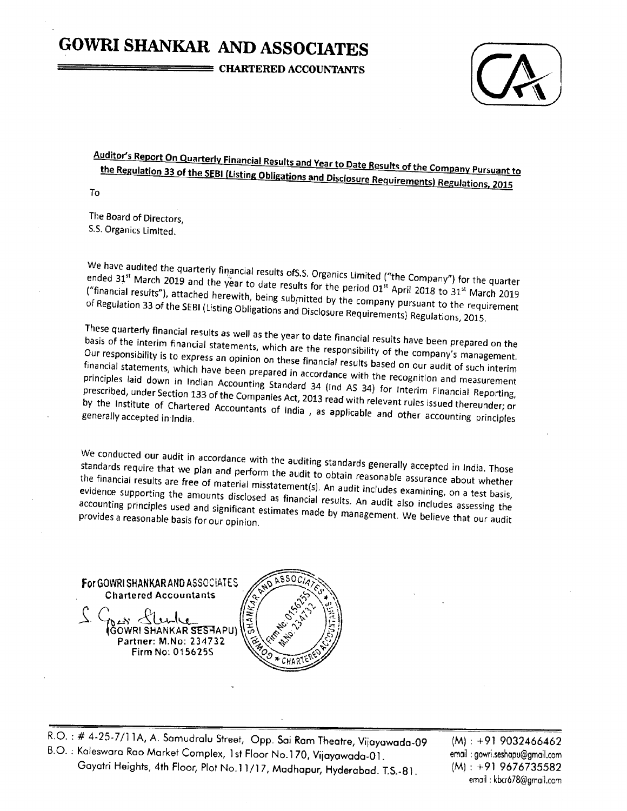# **GOWRI SHANKAR AND ASSOCIATES**

**E CHARTERED ACCOUNTANTS** 



Auditor's Report On Quarterly Financial Results and Year to Date Results of the Company Pursuant to the Regulation 33 of the SEBI (Listing Obligations and Disclosure Requirements) Regulations, 2015

To

The Board of Directors, S.S. Organics Limited.

We have audited the quarterly financial results of S.S. Organics Limited ("the Company") for the quarter ended 31<sup>st</sup> March 2019 and the year to date results for the period 01<sup>st</sup> April 2018 to 31<sup>st</sup> March 2019 ("financial results"), attached herewith, being submitted by the company pursuant to the requirement of Regulation 33 of the SEBI (Listing Obligations and Disclosure Requirements) Regulations, 2015.

These quarterly financial results as well as the year to date financial results have been prepared on the basis of the interim financial statements, which are the responsibility of the company's management. Our responsibility is to express an opinion on these financial results based on our audit of such interim financial statements, which have been prepared in accordance with the recognition and measurement principles laid down in Indian Accounting Standard 34 (Ind AS 34) for Interim Financial Reporting, prescribed, under Section 133 of the Companies Act, 2013 read with relevant rules issued thereunder; or by the Institute of Chartered Accountants of India, as applicable and other accounting principles

We conducted our audit in accordance with the auditing standards generally accepted in India. Those standards require that we plan and perform the audit to obtain reasonable assurance about whether the financial results are free of material misstatement(s). An audit includes examining, on a test basis, evidence supporting the amounts disclosed as financial results. An audit also includes assessing the accounting principles used and significant estimates made by management. We believe that our audit provides a reasonable basis for our opinion.

For GOWRI SHANKAR AND ASSOCIATES **Chartered Accountants** 

> Partner: M.No: 234732 Firm No: 015625S



R.O.: # 4-25-7/11A, A. Samudralu Street, Opp. Sai Ram Theatre, Vijayawada-09 B.O.: Kaleswara Rao Market Complex, 1st Floor No.170, Vijayawada-01. Gayatri Heights, 4th Floor, Plot No.11/17, Madhapur, Hyderabad. T.S.-81.

 $(M): +919032466462$ email: gowri.seshapu@gmail.com  $(M): +919676735582$ email: kbcr678@gmail.com